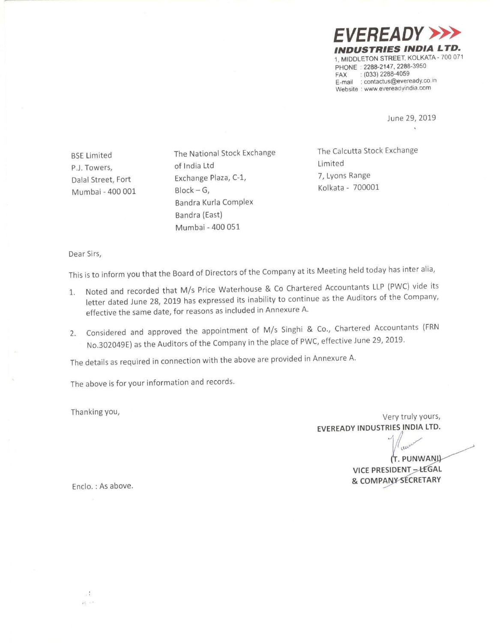**VEREADY** INDUSTRIES INDIA LTD. 1, MIDDLETON STREET, KOLKATA — 700 071 PHONE: 2288-2147, 2288-3950<br>FAX: : (033) 2288-4059  $: (033)$  2288-4059 E-mail : contactus@eveready.co.in Website ' www.evereadylndia com

> June 29, 2019  $\mathbf{R}$

Mumbai — 400 001 Block —

PJ. Towers, of indie Ltd Limited Dalal Street, Fort Exchange Plaza, C-1, G, Kolkata - 700001 Bandra Kurla Complex Bandra (East) Mumbai -400 051

BSE Limited The National Stock Exchange The Calcutta Stock Exchange<br>Calcutta Stock Exchange Calcutta Stock Exchange

Dear Sirs,

This is to inform you that the Board of Directors of the Company at its Meeting held today has inter alia,

- 1. Noted and recorded that M/s Price Waterhouse & Co Chartered Accountants LLP (PWC) vide its letter dated June 28, <sup>2019</sup> has expressed its inability to continue as the Auditors of the Company, effective the same date, for reasons as included in Annexure A,
- 2. Considered and approved the appointment of M/s Singhi & C0,, Chartered Accountants (FRN No.302049E) as the Auditors of the Company in the place of PWC, effective June 29,2019.

The details as required in connection with the above are provided in Annexure A.

The above is for your information and records.

Thanking you,

Very truly yours, EVEREADY INDUSTRIES INDIA LTD.

> (T. PUNWANI) VICE PRESIDENT - LEGAL & COMPANY SECRETARY

Enclo. : As above.

 $\cdot$  :  $\kappa_{\rm i}^{\rm c}$  as